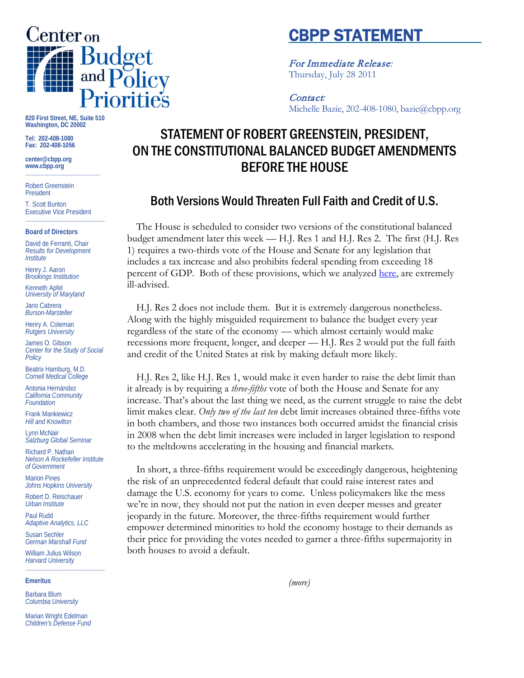

**820 First Street, NE, Suite 510 Washington, DC 20002**

**Tel: 202-408-1080 Fax: 202-408-1056**

**center@cbpp.org www.cbpp.org \_\_\_\_\_\_\_\_\_\_\_\_\_\_\_\_\_\_\_\_\_\_\_\_**

Robert Greenstein President

T. Scott Bunton Executive Vice President **\_\_\_\_\_\_\_\_\_\_\_\_\_\_\_\_\_\_\_\_\_\_\_\_**

#### **Board of Directors**

David de Ferranti, Chair *Results for Development Institute*

Henry J. Aaron *Brookings Institution*

Kenneth Apfel *University of Maryland*

Jano Cabrera *Burson-Marsteller*

Henry A. Coleman *Rutgers University*

James O. Gibson *Center for the Study of Social Policy*

Beatrix Hamburg, M.D. *Cornell Medical College*

Antonia Hernández *California Community Foundation*

Frank Mankiewicz *Hill and Knowlton*

Lynn McNair *Salzburg Global Seminar*

Richard P. Nathan *Nelson A Rockefeller Institute of Government*

Marion Pines *Johns Hopkins University*

Robert D. Reischauer *Urban Institute*

Paul Rudd *Adaptive Analytics, LLC*

Susan Sechler *German Marshall Fund*

William Julius Wilson *Harvard University* **\_\_\_\_\_\_\_\_\_\_\_\_\_\_\_\_\_\_\_\_\_\_\_\_**

#### **Emeritus**

Barbara Blum *Columbia University*

Marian Wright Edelman *Children's Defense Fund*

# CBPP STATEMENT

For Immediate Release*:* Thursday, July 28 2011

### Contact*:*

Michelle Bazie, 202-408-1080, bazie@cbpp.org

## STATEMENT OF ROBERT GREENSTEIN, PRESIDENT, ON THE CONSTITUTIONAL BALANCED BUDGET AMENDMENTS BEFORE THE HOUSE

## Both Versions Would Threaten Full Faith and Credit of U.S.

The House is scheduled to consider two versions of the constitutional balanced budget amendment later this week — H.J. Res 1 and H.J. Res 2. The first (H.J. Res 1) requires a two-thirds vote of the House and Senate for any legislation that includes a tax increase and also prohibits federal spending from exceeding 18 percent of GDP. Both of these provisions, which we analyzed [here,](http://www.cbpp.org/cms/index.cfm?fa=view&id=3509) are extremely ill-advised.

H.J. Res 2 does not include them. But it is extremely dangerous nonetheless. Along with the highly misguided requirement to balance the budget every year regardless of the state of the economy — which almost certainly would make recessions more frequent, longer, and deeper — H.J. Res 2 would put the full faith and credit of the United States at risk by making default more likely.

H.J. Res 2, like H.J. Res 1, would make it even harder to raise the debt limit than it already is by requiring a *three-fifths* vote of both the House and Senate for any increase. That's about the last thing we need, as the current struggle to raise the debt limit makes clear. *Only two of the last ten* debt limit increases obtained three-fifths vote in both chambers, and those two instances both occurred amidst the financial crisis in 2008 when the debt limit increases were included in larger legislation to respond to the meltdowns accelerating in the housing and financial markets.

In short, a three-fifths requirement would be exceedingly dangerous, heightening the risk of an unprecedented federal default that could raise interest rates and damage the U.S. economy for years to come. Unless policymakers like the mess we're in now, they should not put the nation in even deeper messes and greater jeopardy in the future. Moreover, the three-fifths requirement would further empower determined minorities to hold the economy hostage to their demands as their price for providing the votes needed to garner a three-fifths supermajority in both houses to avoid a default.

*(more)*